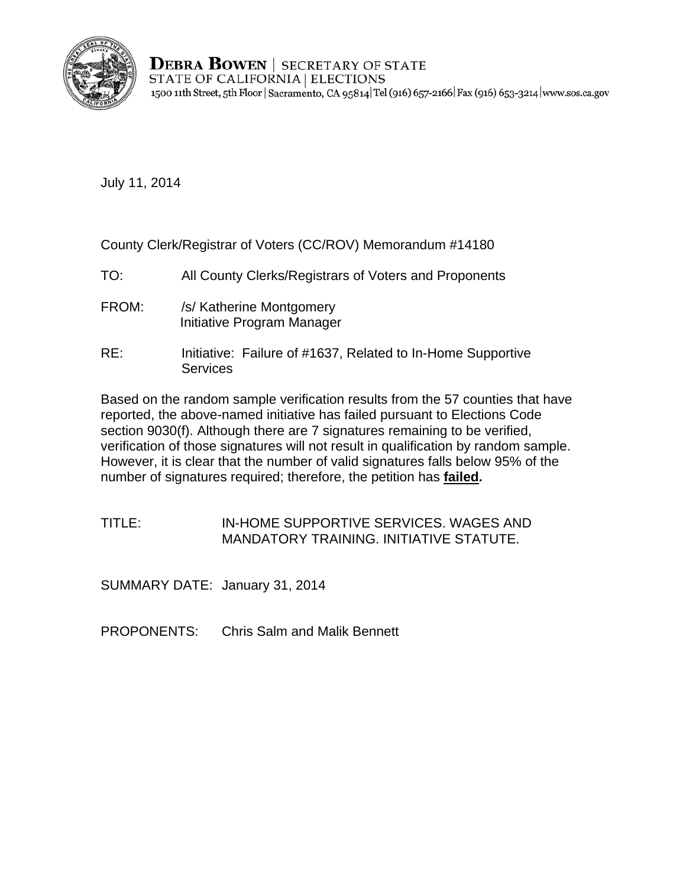

**DEBRA BOWEN** | SECRETARY OF STATE STATE OF CALIFORNIA | ELECTIONS 1500 11th Street, 5th Floor | Sacramento, CA 95814 Tel (916) 657-2166 | Fax (916) 653-3214 | www.sos.ca.gov

July 11, 2014

County Clerk/Registrar of Voters (CC/ROV) Memorandum #14180

- TO: All County Clerks/Registrars of Voters and Proponents
- FROM: /s/ Katherine Montgomery Initiative Program Manager
- RE: Initiative: Failure of #1637, Related to In-Home Supportive **Services**

Based on the random sample verification results from the 57 counties that have reported, the above-named initiative has failed pursuant to Elections Code section 9030(f). Although there are 7 signatures remaining to be verified, verification of those signatures will not result in qualification by random sample. However, it is clear that the number of valid signatures falls below 95% of the number of signatures required; therefore, the petition has **failed.** 

TITLE: IN-HOME SUPPORTIVE SERVICES. WAGES AND MANDATORY TRAINING. INITIATIVE STATUTE.

SUMMARY DATE: January 31, 2014

PROPONENTS: Chris Salm and Malik Bennett